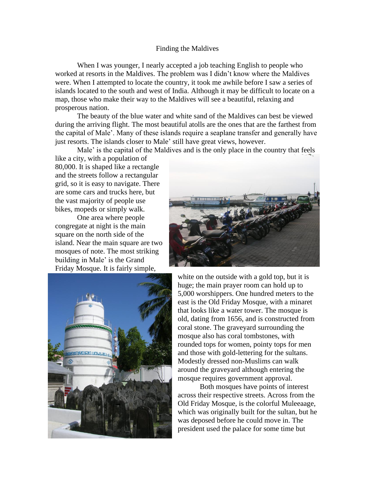## Finding the Maldives

When I was younger, I nearly accepted a job teaching English to people who worked at resorts in the Maldives. The problem was I didn't know where the Maldives were. When I attempted to locate the country, it took me awhile before I saw a series of islands located to the south and west of India. Although it may be difficult to locate on a map, those who make their way to the Maldives will see a beautiful, relaxing and prosperous nation.

The beauty of the blue water and white sand of the Maldives can best be viewed during the arriving flight. The most beautiful atolls are the ones that are the farthest from the capital of Male'. Many of these islands require a seaplane transfer and generally have just resorts. The islands closer to Male' still have great views, however.

Male' is the capital of the Maldives and is the only place in the country that feels

like a city, with a population of 80,000. It is shaped like a rectangle and the streets follow a rectangular grid, so it is easy to navigate. There are some cars and trucks here, but the vast majority of people use bikes, mopeds or simply walk.

One area where people congregate at night is the main square on the north side of the island. Near the main square are two mosques of note. The most striking building in Male' is the Grand Friday Mosque. It is fairly simple,





white on the outside with a gold top, but it is huge; the main prayer room can hold up to 5,000 worshippers. One hundred meters to the east is the Old Friday Mosque, with a minaret that looks like a water tower. The mosque is old, dating from 1656, and is constructed from coral stone. The graveyard surrounding the mosque also has coral tombstones, with rounded tops for women, pointy tops for men and those with gold-lettering for the sultans. Modestly dressed non-Muslims can walk around the graveyard although entering the mosque requires government approval.

Both mosques have points of interest across their respective streets. Across from the Old Friday Mosque, is the colorful Muleeaage, which was originally built for the sultan, but he was deposed before he could move in. The president used the palace for some time but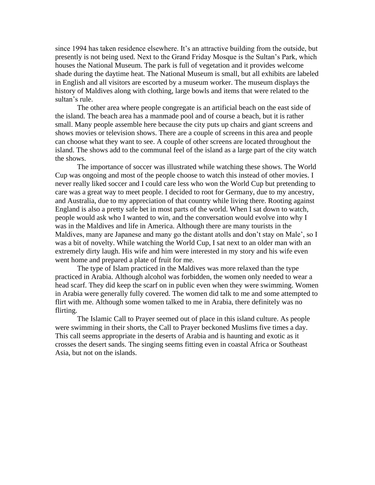since 1994 has taken residence elsewhere. It's an attractive building from the outside, but presently is not being used. Next to the Grand Friday Mosque is the Sultan's Park, which houses the National Museum. The park is full of vegetation and it provides welcome shade during the daytime heat. The National Museum is small, but all exhibits are labeled in English and all visitors are escorted by a museum worker. The museum displays the history of Maldives along with clothing, large bowls and items that were related to the sultan's rule.

The other area where people congregate is an artificial beach on the east side of the island. The beach area has a manmade pool and of course a beach, but it is rather small. Many people assemble here because the city puts up chairs and giant screens and shows movies or television shows. There are a couple of screens in this area and people can choose what they want to see. A couple of other screens are located throughout the island. The shows add to the communal feel of the island as a large part of the city watch the shows.

The importance of soccer was illustrated while watching these shows. The World Cup was ongoing and most of the people choose to watch this instead of other movies. I never really liked soccer and I could care less who won the World Cup but pretending to care was a great way to meet people. I decided to root for Germany, due to my ancestry, and Australia, due to my appreciation of that country while living there. Rooting against England is also a pretty safe bet in most parts of the world. When I sat down to watch, people would ask who I wanted to win, and the conversation would evolve into why I was in the Maldives and life in America. Although there are many tourists in the Maldives, many are Japanese and many go the distant atolls and don't stay on Male', so I was a bit of novelty. While watching the World Cup, I sat next to an older man with an extremely dirty laugh. His wife and him were interested in my story and his wife even went home and prepared a plate of fruit for me.

The type of Islam practiced in the Maldives was more relaxed than the type practiced in Arabia. Although alcohol was forbidden, the women only needed to wear a head scarf. They did keep the scarf on in public even when they were swimming. Women in Arabia were generally fully covered. The women did talk to me and some attempted to flirt with me. Although some women talked to me in Arabia, there definitely was no flirting.

The Islamic Call to Prayer seemed out of place in this island culture. As people were swimming in their shorts, the Call to Prayer beckoned Muslims five times a day. This call seems appropriate in the deserts of Arabia and is haunting and exotic as it crosses the desert sands. The singing seems fitting even in coastal Africa or Southeast Asia, but not on the islands.